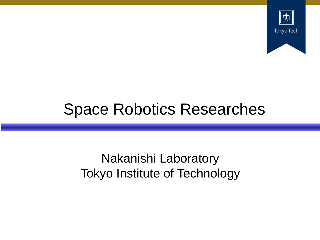

# Space Robotics Researches

### Nakanishi Laboratory Tokyo Institute of Technology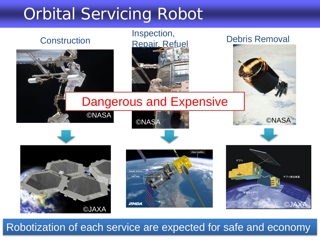# Orbital Servicing Robot



Robotization of each service are expected for safe and economy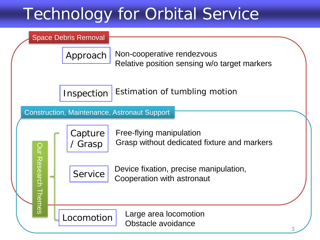# Technology for Orbital Service

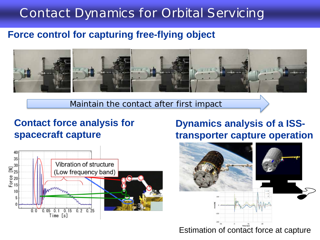### Contact Dynamics for Orbital Servicing

#### **Force control for capturing free-flying object**



Maintain the contact after first impact

#### **Contact force analysis for spacecraft capture**



#### **Dynamics analysis of a ISStransporter capture operation**

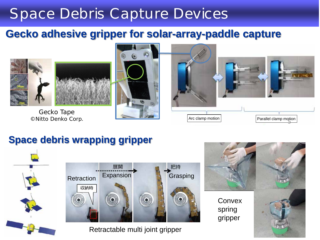### Space Debris Capture Devices

### **Gecko adhesive gripper for solar-array-paddle capture**



Gecko Tape





### **Space debris wrapping gripper**





Retractable multi joint gripper